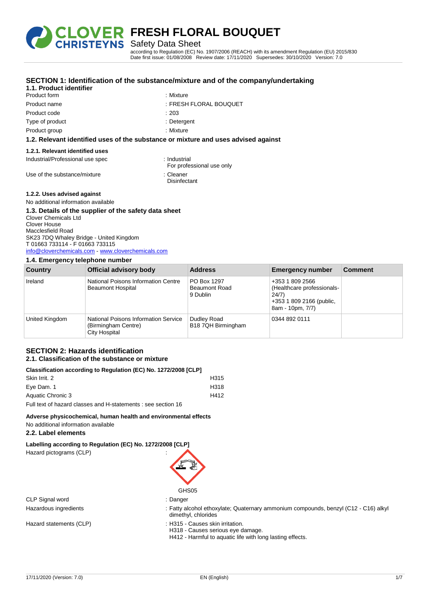

Safety Data Sheet

according to Regulation (EC) No. 1907/2006 (REACH) with its amendment Regulation (EU) 2015/830 Date first issue: 01/08/2008 Review date: 17/11/2020 Supersedes: 30/10/2020 Version: 7.0

|                                     | SECTION 1: Identification of the substance/mixture and of the company/undertaking  |
|-------------------------------------|------------------------------------------------------------------------------------|
| 1.1. Product identifier             |                                                                                    |
| Product form                        | : Mixture                                                                          |
| Product name                        | : FRESH FLORAL BOUQUET                                                             |
| Product code                        | :203                                                                               |
| Type of product                     | : Detergent                                                                        |
| Product group                       | : Mixture                                                                          |
|                                     | 1.2. Relevant identified uses of the substance or mixture and uses advised against |
| 1.2.1. Relevant identified uses     |                                                                                    |
| Industrial/Professional use spec    | : Industrial<br>For professional use only                                          |
| Use of the substance/mixture        | : Cleaner<br>Disinfectant                                                          |
| 1.2.2. Uses advised against         |                                                                                    |
| No additional information available |                                                                                    |

# **1.3. Details of the supplier of the safety data sheet**

Clover Chemicals Ltd Clover House Macclesfield Road SK23 7DQ Whaley Bridge - United Kingdom T 01663 733114 - F 01663 733115 [info@cloverchemicals.com](mailto:info@cloverchemicals.com) - <www.cloverchemicals.com>

# **1.4. Emergency telephone number**

| Country        | Official advisory body                                                       | <b>Address</b>                                  | <b>Emergency number</b>                                                                                | <b>Comment</b> |
|----------------|------------------------------------------------------------------------------|-------------------------------------------------|--------------------------------------------------------------------------------------------------------|----------------|
| Ireland        | National Poisons Information Centre<br><b>Beaumont Hospital</b>              | PO Box 1297<br><b>Beaumont Road</b><br>9 Dublin | +353 1 809 2566<br>(Healthcare professionals-<br>24/7)<br>+353 1 809 2166 (public,<br>8am - 10pm, 7/7) |                |
| United Kingdom | National Poisons Information Service<br>(Birmingham Centre)<br>City Hospital | Dudley Road<br>B18 7QH Birmingham               | 0344 892 0111                                                                                          |                |

#### **SECTION 2: Hazards identification 2.1. Classification of the substance or mixture**

# **Classification according to Regulation (EC) No. 1272/2008 [CLP]**

| 0100011100110111000101119 to hogeration (LO) No. 121212000 [OLI ] |      |  |
|-------------------------------------------------------------------|------|--|
| Skin Irrit, 2                                                     | H315 |  |
| Eve Dam. 1                                                        | H318 |  |
| Aquatic Chronic 3                                                 | H412 |  |
| Full text of hazard classes and H-statements : see section 16     |      |  |

## **Adverse physicochemical, human health and environmental effects**

No additional information available

## **2.2. Label elements**

**Labelling according to Regulation (EC) No. 1272/2008 [CLP]**

Hazard pictograms (CLP) :

GHS05

CLP Signal word : Danger

- Hazardous ingredients : Fatty alcohol ethoxylate; Quaternary ammonium compounds, benzyl (C12 C16) alkyl dimethyl, chlorides
- Hazard statements (CLP) : H315 Causes skin irritation.
	- H318 Causes serious eye damage.
	- H412 Harmful to aquatic life with long lasting effects.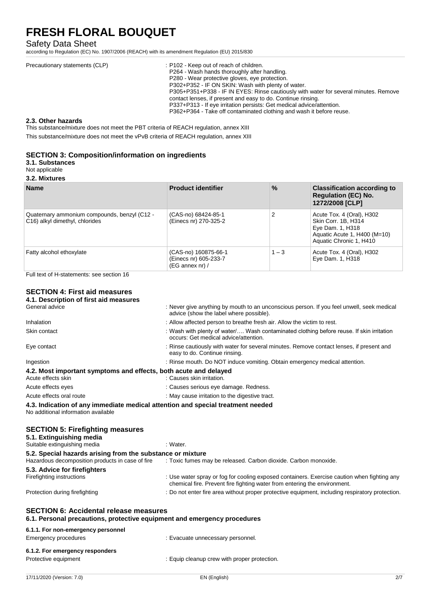# Safety Data Sheet

according to Regulation (EC) No. 1907/2006 (REACH) with its amendment Regulation (EU) 2015/830

| Precautionary statements (CLP) | : P102 - Keep out of reach of children.<br>P264 - Wash hands thoroughly after handling.<br>P280 - Wear protective gloves, eye protection.                                                                  |
|--------------------------------|------------------------------------------------------------------------------------------------------------------------------------------------------------------------------------------------------------|
|                                | P302+P352 - IF ON SKIN: Wash with plenty of water.<br>P305+P351+P338 - IF IN EYES: Rinse cautiously with water for several minutes. Remove<br>contact lenses, if present and easy to do. Continue rinsing. |
|                                | P337+P313 - If eye irritation persists: Get medical advice/attention.<br>P362+P364 - Take off contaminated clothing and wash it before reuse.                                                              |

#### **2.3. Other hazards**

This substance/mixture does not meet the PBT criteria of REACH regulation, annex XIII

This substance/mixture does not meet the vPvB criteria of REACH regulation, annex XIII

## **SECTION 3: Composition/information on ingredients**

**3.1. Substances**

Not applicable

**3.2. Mixtures**

| <b>Name</b>                                                                    | <b>Product identifier</b>                                                 | $\%$    | <b>Classification according to</b><br><b>Regulation (EC) No.</b><br>1272/2008 [CLP]                                             |
|--------------------------------------------------------------------------------|---------------------------------------------------------------------------|---------|---------------------------------------------------------------------------------------------------------------------------------|
| Quaternary ammonium compounds, benzyl (C12 -<br>C16) alkyl dimethyl, chlorides | (CAS-no) 68424-85-1<br>(Einecs nr) 270-325-2                              | 2       | Acute Tox. 4 (Oral), H302<br>Skin Corr. 1B, H314<br>Eye Dam. 1, H318<br>Aquatic Acute 1, H400 (M=10)<br>Aquatic Chronic 1, H410 |
| Fatty alcohol ethoxylate                                                       | (CAS-no) 160875-66-1<br>(Einecs nr) 605-233-7<br>$(EG \n  annex \n  nr)/$ | $1 - 3$ | Acute Tox. 4 (Oral), H302<br>Eye Dam. 1, H318                                                                                   |

Full text of H-statements: see section 16

#### **SECTION 4: First aid measures 4.1. Description of first aid measures**

| 17/11/2020 (Version: 7.0)                                                                                                 | EN (English)                                                                                                                                                             | 2/7 |
|---------------------------------------------------------------------------------------------------------------------------|--------------------------------------------------------------------------------------------------------------------------------------------------------------------------|-----|
| 6.1.2. For emergency responders<br>Protective equipment                                                                   | : Equip cleanup crew with proper protection.                                                                                                                             |     |
| <b>Emergency procedures</b>                                                                                               | : Evacuate unnecessary personnel.                                                                                                                                        |     |
| 6.1.1. For non-emergency personnel                                                                                        |                                                                                                                                                                          |     |
| <b>SECTION 6: Accidental release measures</b><br>6.1. Personal precautions, protective equipment and emergency procedures |                                                                                                                                                                          |     |
| Protection during firefighting                                                                                            | : Do not enter fire area without proper protective equipment, including respiratory protection.                                                                          |     |
| 5.3. Advice for firefighters<br>Firefighting instructions                                                                 | : Use water spray or fog for cooling exposed containers. Exercise caution when fighting any<br>chemical fire. Prevent fire fighting water from entering the environment. |     |
| 5.2. Special hazards arising from the substance or mixture<br>Hazardous decomposition products in case of fire            | : Toxic fumes may be released. Carbon dioxide. Carbon monoxide.                                                                                                          |     |
| <b>SECTION 5: Firefighting measures</b><br>5.1. Extinguishing media<br>Suitable extinguishing media                       | : Water.                                                                                                                                                                 |     |
| 4.3. Indication of any immediate medical attention and special treatment needed<br>No additional information available    |                                                                                                                                                                          |     |
| Acute effects oral route                                                                                                  | : May cause irritation to the digestive tract.                                                                                                                           |     |
| Acute effects eyes                                                                                                        | : Causes serious eye damage. Redness.                                                                                                                                    |     |
| 4.2. Most important symptoms and effects, both acute and delayed<br>Acute effects skin                                    | : Causes skin irritation.                                                                                                                                                |     |
| Ingestion                                                                                                                 | : Rinse mouth. Do NOT induce vomiting. Obtain emergency medical attention.                                                                                               |     |
| Eye contact                                                                                                               | : Rinse cautiously with water for several minutes. Remove contact lenses, if present and<br>easy to do. Continue rinsing.                                                |     |
| Skin contact                                                                                                              | : Wash with plenty of water/ Wash contaminated clothing before reuse. If skin irritation<br>occurs: Get medical advice/attention.                                        |     |
| Inhalation                                                                                                                | : Allow affected person to breathe fresh air. Allow the victim to rest.                                                                                                  |     |
| General advice                                                                                                            | : Never give anything by mouth to an unconscious person. If you feel unwell, seek medical<br>advice (show the label where possible).                                     |     |
| 4. I. Description of hist ald measures                                                                                    |                                                                                                                                                                          |     |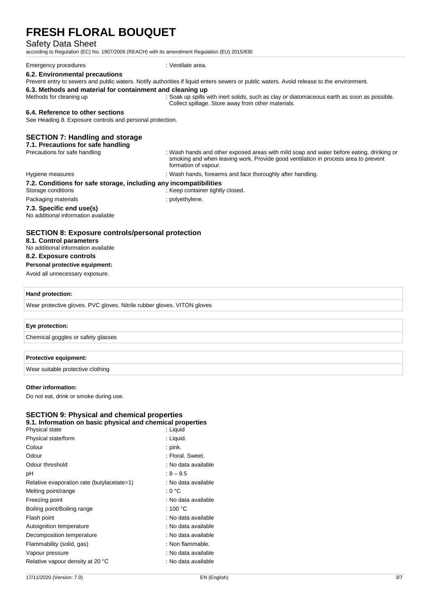### Safety Data Sheet

according to Regulation (EC) No. 1907/2006 (REACH) with its amendment Regulation (EU) 2015/830

#### Emergency procedures : Ventilate area.

**6.2. Environmental precautions**

Prevent entry to sewers and public waters. Notify authorities if liquid enters sewers or public waters. Avoid release to the environment.

#### **6.3. Methods and material for containment and cleaning up**

Methods for cleaning up : Soak up spills with inert solids, such as clay or diatomaceous earth as soon as possible. Collect spillage. Store away from other materials.

#### **6.4. Reference to other sections**

See Heading 8. Exposure controls and personal protection.

### **SECTION 7: Handling and storage**

#### **7.1. Precautions for safe handling**

Precautions for safe handling in the state of the state of the state of the exposed areas with mild soap and water before eating, drinking or smoking and when leaving work. Provide good ventilation in process area to prevent formation of vapour.

#### Hygiene measures in the state of the state of the Hygiene measures in the state of the state of the Hygiene measures in the Hygiene measures in the Hygiene measures in the Hygiene measures in the Hygiene measures in the Hy

## **7.2. Conditions for safe storage, including any incompatibilities**

- Storage conditions : Keep container tightly closed.
- Packaging materials **Example 20** is polyethylene.
	-

#### **7.3. Specific end use(s)** No additional information available

## **SECTION 8: Exposure controls/personal protection**

**8.1. Control parameters**

No additional information available **8.2. Exposure controls**

# **Personal protective equipment:**

Avoid all unnecessary exposure.

#### **Hand protection:**

Wear protective gloves. PVC gloves. Nitrile rubber gloves. VITON gloves

### **Eye protection:**

Chemical goggles or safety glasses

#### **Protective equipment:**

Wear suitable protective clothing

#### **Other information:**

Do not eat, drink or smoke during use.

# **SECTION 9: Physical and chemical properties**

**9.1. Information on basic physical and chemical properties** Physical state : Liquid

| Physical state/form                        | : Liguid.           |
|--------------------------------------------|---------------------|
| Colour                                     | $:$ pink.           |
| Odour                                      | : Floral. Sweet.    |
| Odour threshold                            | : No data available |
| рH                                         | $:8 - 9.5$          |
| Relative evaporation rate (butylacetate=1) | : No data available |
| Melting point/range                        | : 0 °C              |
| Freezing point                             | : No data available |
| Boiling point/Boiling range                | : 100 $^{\circ}$ C  |
| Flash point                                | : No data available |
| Autoignition temperature                   | : No data available |
| Decomposition temperature                  | : No data available |
| Flammability (solid, gas)                  | : Non flammable.    |
| Vapour pressure                            | : No data available |
| Relative vapour density at 20 °C           | : No data available |
|                                            |                     |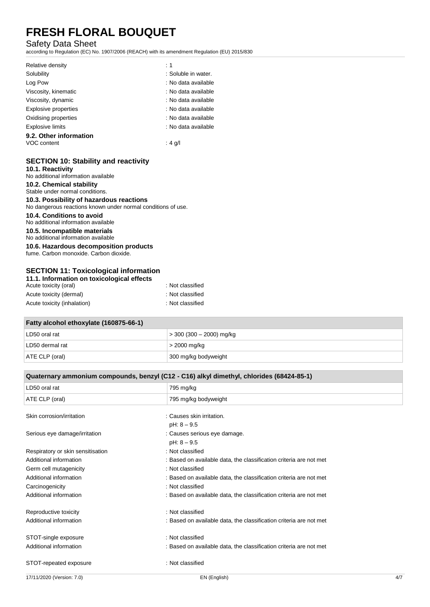# Safety Data Sheet

according to Regulation (EC) No. 1907/2006 (REACH) with its amendment Regulation (EU) 2015/830

| Relative density        | : 1                 |
|-------------------------|---------------------|
| Solubility              | : Soluble in water. |
| Log Pow                 | : No data available |
| Viscosity, kinematic    | : No data available |
| Viscosity, dynamic      | : No data available |
| Explosive properties    | : No data available |
| Oxidising properties    | : No data available |
| <b>Explosive limits</b> | : No data available |
| 9.2. Other information  |                     |
| VOC content             | : 4 g/l             |

## **SECTION 10: Stability and reactivity**

**10.1. Reactivity** No additional information available **10.2. Chemical stability** Stable under normal conditions. **10.3. Possibility of hazardous reactions** No dangerous reactions known under normal conditions of use. **10.4. Conditions to avoid** No additional information available **10.5. Incompatible materials** No additional information available **10.6. Hazardous decomposition products** fume. Carbon monoxide. Carbon dioxide.

## **SECTION 11: Toxicological information**

| 11.1. Information on toxicological effects |                  |
|--------------------------------------------|------------------|
| Acute toxicity (oral)                      | : Not classified |
| Acute toxicity (dermal)                    | : Not classified |
| Acute toxicity (inhalation)                | : Not classified |

| Fatty alcohol ethoxylate (160875-66-1) |                          |  |
|----------------------------------------|--------------------------|--|
| LD50 oral rat                          | > 300 (300 – 2000) mg/kg |  |
| LD50 dermal rat                        | > 2000 mg/kg             |  |
| ATE CLP (oral)<br>300 mg/kg bodyweight |                          |  |

| Quaternary ammonium compounds, benzyl (C12 - C16) alkyl dimethyl, chlorides (68424-85-1) |                                                                    |     |
|------------------------------------------------------------------------------------------|--------------------------------------------------------------------|-----|
| LD50 oral rat                                                                            | 795 mg/kg                                                          |     |
| ATE CLP (oral)                                                                           | 795 mg/kg bodyweight                                               |     |
| Skin corrosion/irritation                                                                | : Causes skin irritation.                                          |     |
|                                                                                          | $pH: 8 - 9.5$                                                      |     |
| Serious eye damage/irritation                                                            | : Causes serious eye damage.                                       |     |
|                                                                                          | $pH: 8 - 9.5$                                                      |     |
| Respiratory or skin sensitisation                                                        | : Not classified                                                   |     |
| Additional information                                                                   | : Based on available data, the classification criteria are not met |     |
| Germ cell mutagenicity                                                                   | : Not classified                                                   |     |
| Additional information                                                                   | : Based on available data, the classification criteria are not met |     |
| Carcinogenicity                                                                          | : Not classified                                                   |     |
| Additional information                                                                   | : Based on available data, the classification criteria are not met |     |
| Reproductive toxicity                                                                    | : Not classified                                                   |     |
| Additional information                                                                   | : Based on available data, the classification criteria are not met |     |
| STOT-single exposure                                                                     | : Not classified                                                   |     |
| Additional information                                                                   | : Based on available data, the classification criteria are not met |     |
| STOT-repeated exposure                                                                   | : Not classified                                                   |     |
| 17/11/2020 (Version: 7.0)                                                                | EN (English)                                                       | 4/7 |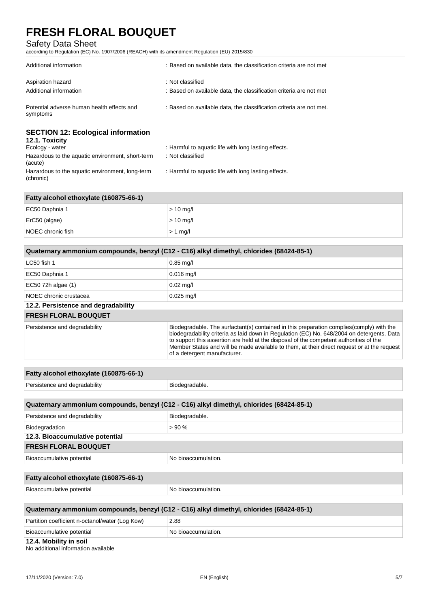# Safety Data Sheet

according to Regulation (EC) No. 1907/2006 (REACH) with its amendment Regulation (EU) 2015/830

| Additional information                                                         | : Based on available data, the classification criteria are not met                     |
|--------------------------------------------------------------------------------|----------------------------------------------------------------------------------------|
| Aspiration hazard<br>Additional information                                    | : Not classified<br>: Based on available data, the classification criteria are not met |
| Potential adverse human health effects and<br>symptoms                         | : Based on available data, the classification criteria are not met.                    |
| <b>SECTION 12: Ecological information</b><br>12.1. Toxicity<br>Ecology - water | : Harmful to aquatic life with long lasting effects.                                   |
| Hazardous to the aquatic environment, short-term<br>(acute)                    | : Not classified                                                                       |
| Hazardous to the aquatic environment, long-term                                | : Harmful to aquatic life with long lasting effects.                                   |

Hazardous to the aquatic environment, long-term (chronic)

| Fatty alcohol ethoxylate (160875-66-1) |             |
|----------------------------------------|-------------|
| EC50 Daphnia 1                         | $>$ 10 mg/l |
| ErC50 (algae)                          | $>$ 10 mg/l |
| NOEC chronic fish                      | $> 1$ mg/l  |

| Quaternary ammonium compounds, benzyl (C12 - C16) alkyl dimethyl, chlorides (68424-85-1) |                                                                                                                                                                                                                                                                                                                                                                                                                  |
|------------------------------------------------------------------------------------------|------------------------------------------------------------------------------------------------------------------------------------------------------------------------------------------------------------------------------------------------------------------------------------------------------------------------------------------------------------------------------------------------------------------|
| $LC50$ fish 1                                                                            | $0.85$ mg/l                                                                                                                                                                                                                                                                                                                                                                                                      |
| EC50 Daphnia 1                                                                           | $0.016$ mg/l                                                                                                                                                                                                                                                                                                                                                                                                     |
| EC50 72h algae (1)                                                                       | $0.02$ mg/l                                                                                                                                                                                                                                                                                                                                                                                                      |
| NOEC chronic crustacea                                                                   | $0.025$ mg/l                                                                                                                                                                                                                                                                                                                                                                                                     |
| 12.2. Persistence and degradability                                                      |                                                                                                                                                                                                                                                                                                                                                                                                                  |
| <b>FRESH FLORAL BOUQUET</b>                                                              |                                                                                                                                                                                                                                                                                                                                                                                                                  |
| Persistence and degradability                                                            | Biodegradable. The surfactant(s) contained in this preparation complies (comply) with the<br>biodegradability criteria as laid down in Regulation (EC) No. 648/2004 on detergents. Data<br>to support this assertion are held at the disposal of the competent authorities of the<br>Member States and will be made available to them, at their direct request or at the request<br>of a detergent manufacturer. |

| Fatty alcohol ethoxylate (160875-66-1)                                                   |                     |  |
|------------------------------------------------------------------------------------------|---------------------|--|
| Persistence and degradability                                                            | Biodegradable.      |  |
|                                                                                          |                     |  |
| Quaternary ammonium compounds, benzyl (C12 - C16) alkyl dimethyl, chlorides (68424-85-1) |                     |  |
| Persistence and degradability                                                            | Biodegradable.      |  |
| Biodegradation                                                                           | >90%                |  |
| 12.3. Bioaccumulative potential                                                          |                     |  |
| <b>FRESH FLORAL BOUQUET</b>                                                              |                     |  |
| Bioaccumulative potential                                                                | No bioaccumulation. |  |
|                                                                                          |                     |  |
| Fatty alcohol ethoxylate (160875-66-1)                                                   |                     |  |
| Bioaccumulative potential                                                                | No bioaccumulation. |  |
|                                                                                          |                     |  |
| Quaternary ammonium compounds, benzyl (C12 - C16) alkyl dimethyl, chlorides (68424-85-1) |                     |  |

| Partition coefficient n-octanol/water (Log Kow) | 2.88                 |
|-------------------------------------------------|----------------------|
| Bioaccumulative potential                       | ↓No bioaccumulation. |
| 12.4. Mobility in soil                          |                      |

No additional information available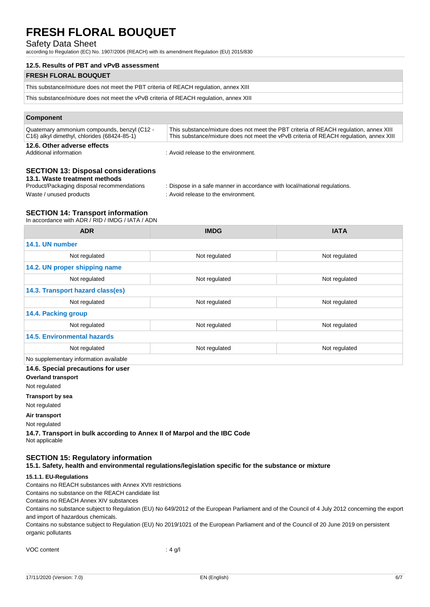# Safety Data Sheet

according to Regulation (EC) No. 1907/2006 (REACH) with its amendment Regulation (EU) 2015/830

| 12.5. Results of PBT and vPvB assessment                                               |
|----------------------------------------------------------------------------------------|
| <b>FRESH FLORAL BOUQUET</b>                                                            |
| This substance/mixture does not meet the PBT criteria of REACH regulation, annex XIII  |
| This substance/mixture does not meet the vPvB criteria of REACH regulation, annex XIII |
|                                                                                        |

### **Component**

| Quaternary ammonium compounds, benzyl (C12 -             | This substance/mixture does not meet the PBT criteria of REACH regulation, annex XIII  |
|----------------------------------------------------------|----------------------------------------------------------------------------------------|
| C <sub>16</sub> ) alkyl dimethyl, chlorides (68424-85-1) | This substance/mixture does not meet the vPvB criteria of REACH regulation, annex XIII |
| 12.6. Other adverse effects                              |                                                                                        |

Additional information : Avoid release to the environment.

# **SECTION 13: Disposal considerations**

**13.1. Waste treatment methods**<br>Product/Packaging disposal recommendations

: Dispose in a safe manner in accordance with local/national regulations.

Waste / unused products in the environment.

# **SECTION 14: Transport information**

In accordance with ADR / RID / IMDG / IATA / ADN

| <b>ADR</b>                             | <b>IMDG</b>   | <b>IATA</b>   |
|----------------------------------------|---------------|---------------|
| 14.1. UN number                        |               |               |
| Not regulated                          | Not regulated | Not regulated |
| 14.2. UN proper shipping name          |               |               |
| Not regulated                          | Not regulated | Not regulated |
| 14.3. Transport hazard class(es)       |               |               |
| Not regulated                          | Not regulated | Not regulated |
| 14.4. Packing group                    |               |               |
| Not regulated                          | Not regulated | Not regulated |
| <b>14.5. Environmental hazards</b>     |               |               |
| Not regulated                          | Not regulated | Not regulated |
| No supplementary information available |               |               |
| 14.6. Special precautions for user     |               |               |

**Overland transport**

Not regulated

**Transport by sea**

Not regulated

**Air transport**

Not regulated

**14.7. Transport in bulk according to Annex II of Marpol and the IBC Code** Not applicable

# **SECTION 15: Regulatory information**

**15.1. Safety, health and environmental regulations/legislation specific for the substance or mixture**

# **15.1.1. EU-Regulations**

Contains no REACH substances with Annex XVII restrictions

Contains no substance on the REACH candidate list

Contains no REACH Annex XIV substances

Contains no substance subject to Regulation (EU) No 649/2012 of the European Parliament and of the Council of 4 July 2012 concerning the export and import of hazardous chemicals.

Contains no substance subject to Regulation (EU) No 2019/1021 of the European Parliament and of the Council of 20 June 2019 on persistent organic pollutants

| VOC content | : 4 g/l |
|-------------|---------|
|-------------|---------|